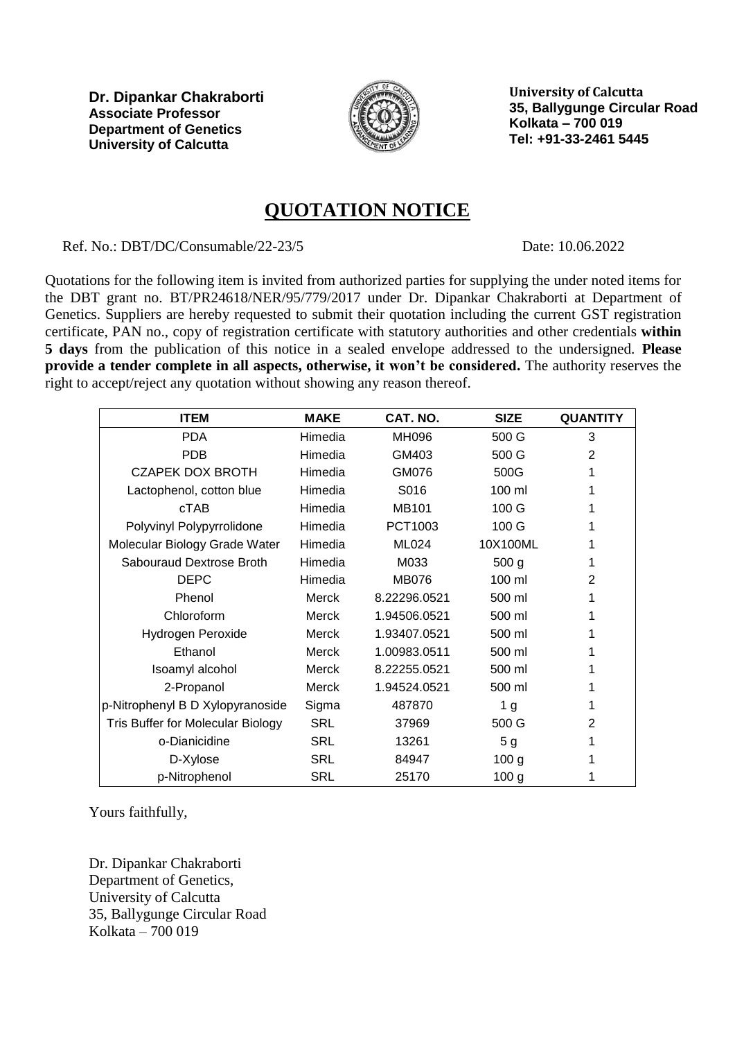

**University of Calcutta 35, Ballygunge Circular Road Kolkata – 700 019 Tel: +91-33-2461 5445**

### **QUOTATION NOTICE**

Ref. No.: DBT/DC/Consumable/22-23/5 Date: 10.06.2022

Quotations for the following item is invited from authorized parties for supplying the under noted items for the DBT grant no. BT/PR24618/NER/95/779/2017 under Dr. Dipankar Chakraborti at Department of Genetics. Suppliers are hereby requested to submit their quotation including the current GST registration certificate, PAN no., copy of registration certificate with statutory authorities and other credentials **within 5 days** from the publication of this notice in a sealed envelope addressed to the undersigned. **Please provide a tender complete in all aspects, otherwise, it won't be considered.** The authority reserves the right to accept/reject any quotation without showing any reason thereof.

| <b>ITEM</b>                              | <b>MAKE</b> | CAT. NO.     | <b>SIZE</b>      | <b>QUANTITY</b> |
|------------------------------------------|-------------|--------------|------------------|-----------------|
| <b>PDA</b>                               | Himedia     | <b>MH096</b> | 500 G            | 3               |
| <b>PDB</b>                               | Himedia     | GM403        | 500 G            | 2               |
| <b>CZAPEK DOX BROTH</b>                  | Himedia     | GM076        | 500G             |                 |
| Lactophenol, cotton blue                 | Himedia     | S016         | 100 ml           |                 |
| cTAB                                     | Himedia     | <b>MB101</b> | 100 G            |                 |
| Polyvinyl Polypyrrolidone                | Himedia     | PCT1003      | 100 G            |                 |
| Molecular Biology Grade Water            | Himedia     | ML024        | 10X100ML         |                 |
| Sabouraud Dextrose Broth                 | Himedia     | M033         | 500 <sub>g</sub> | 1               |
| <b>DEPC</b>                              | Himedia     | <b>MB076</b> | 100 ml           | 2               |
| Phenol                                   | Merck       | 8.22296.0521 | 500 ml           |                 |
| Chloroform                               | Merck       | 1.94506.0521 | 500 ml           |                 |
| Hydrogen Peroxide                        | Merck       | 1.93407.0521 | 500 ml           |                 |
| Ethanol                                  | Merck       | 1.00983.0511 | 500 ml           | 1               |
| Isoamyl alcohol                          | Merck       | 8.22255.0521 | 500 ml           |                 |
| 2-Propanol                               | Merck       | 1.94524.0521 | 500 ml           |                 |
| p-Nitrophenyl B D Xylopyranoside         | Sigma       | 487870       | 1 <sub>g</sub>   |                 |
| <b>Tris Buffer for Molecular Biology</b> | <b>SRL</b>  | 37969        | 500 G            | 2               |
| o-Dianicidine                            | <b>SRL</b>  | 13261        | 5 <sub>g</sub>   |                 |
| D-Xylose                                 | <b>SRL</b>  | 84947        | 100 <sub>g</sub> |                 |
| p-Nitrophenol                            | <b>SRL</b>  | 25170        | 100 <sub>g</sub> |                 |

Yours faithfully,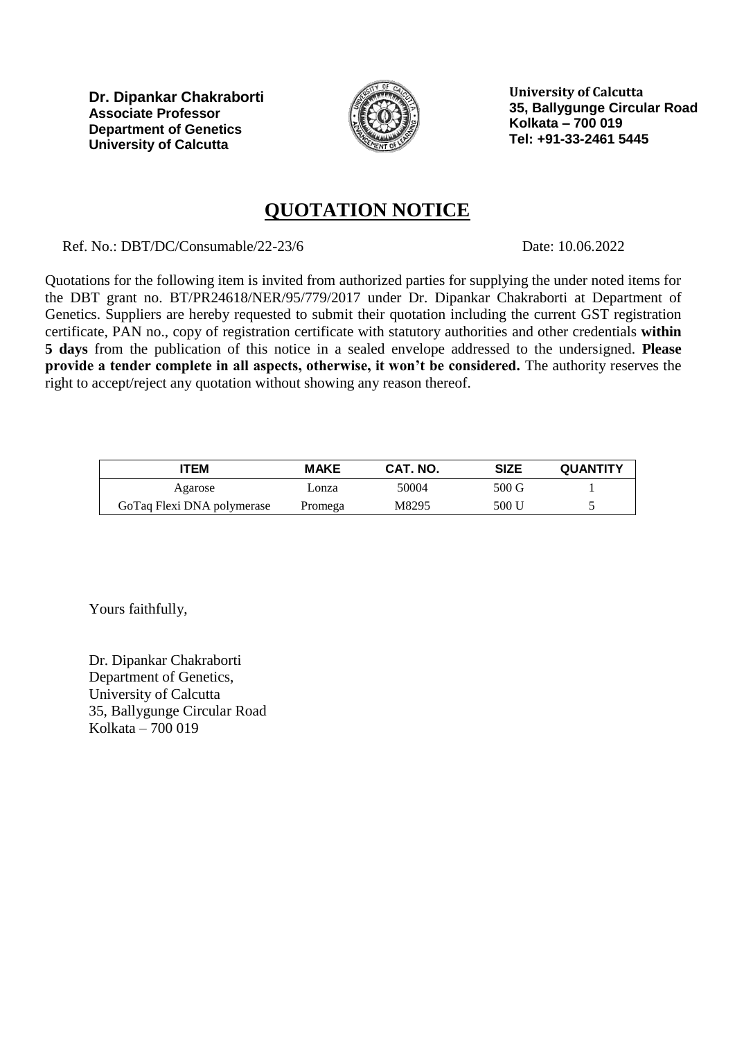

**University of Calcutta 35, Ballygunge Circular Road Kolkata – 700 019 Tel: +91-33-2461 5445**

# **QUOTATION NOTICE**

Ref. No.: DBT/DC/Consumable/22-23/6 Date: 10.06.2022

Quotations for the following item is invited from authorized parties for supplying the under noted items for the DBT grant no. BT/PR24618/NER/95/779/2017 under Dr. Dipankar Chakraborti at Department of Genetics. Suppliers are hereby requested to submit their quotation including the current GST registration certificate, PAN no., copy of registration certificate with statutory authorities and other credentials **within 5 days** from the publication of this notice in a sealed envelope addressed to the undersigned. **Please provide a tender complete in all aspects, otherwise, it won't be considered.** The authority reserves the right to accept/reject any quotation without showing any reason thereof.

| TEM                        | <b>MAKE</b> | CAT. NO. | SIZE  | <b>QUANTITY</b> |
|----------------------------|-------------|----------|-------|-----------------|
| Agarose                    | Lonza       | 50004    | 500 G |                 |
| GoTaq Flexi DNA polymerase | Promega     | M8295    | 500 U |                 |

Yours faithfully,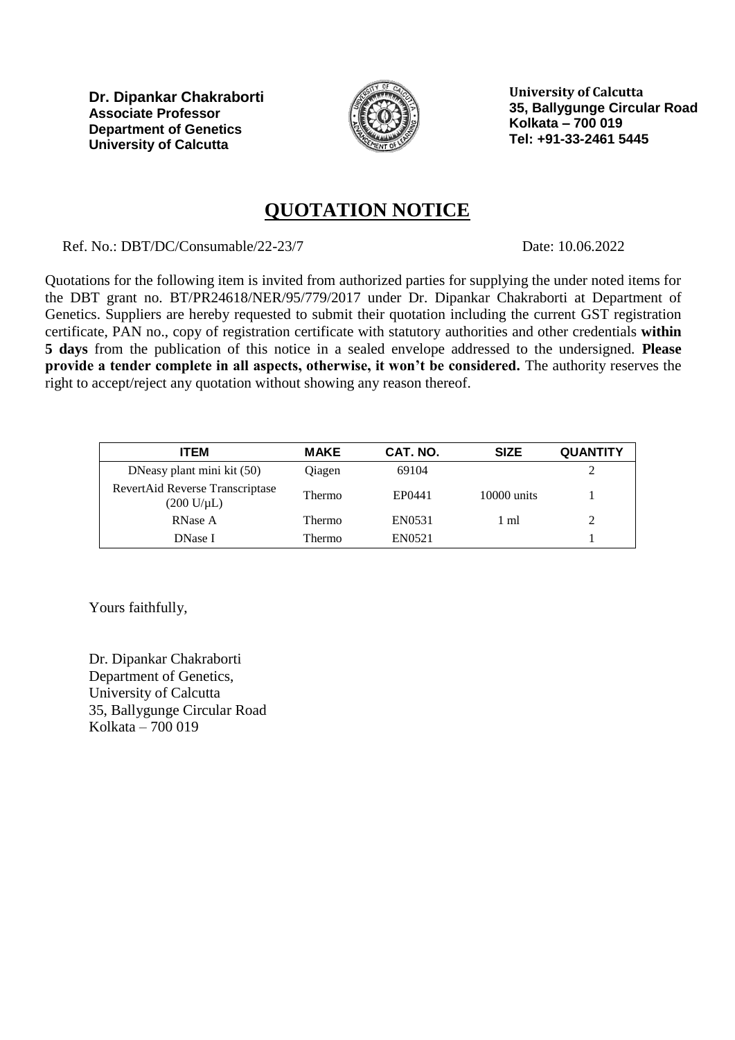

**University of Calcutta 35, Ballygunge Circular Road Kolkata – 700 019 Tel: +91-33-2461 5445**

## **QUOTATION NOTICE**

Ref. No.: DBT/DC/Consumable/22-23/7 Date: 10.06.2022

Quotations for the following item is invited from authorized parties for supplying the under noted items for the DBT grant no. BT/PR24618/NER/95/779/2017 under Dr. Dipankar Chakraborti at Department of Genetics. Suppliers are hereby requested to submit their quotation including the current GST registration certificate, PAN no., copy of registration certificate with statutory authorities and other credentials **within 5 days** from the publication of this notice in a sealed envelope addressed to the undersigned. **Please provide a tender complete in all aspects, otherwise, it won't be considered.** The authority reserves the right to accept/reject any quotation without showing any reason thereof.

| <b>ITEM</b>                                                      | <b>MAKE</b> | CAT. NO. | <b>SIZE</b>   | <b>QUANTITY</b> |
|------------------------------------------------------------------|-------------|----------|---------------|-----------------|
| DNeasy plant mini kit (50)                                       | Qiagen      | 69104    |               |                 |
| RevertAid Reverse Transcriptase<br>$(200 \text{ U}/\mu\text{L})$ | Thermo      | EP0441   | $10000$ units |                 |
| <b>RNase A</b>                                                   | Thermo      | EN0531   | 1 ml          |                 |
| <b>DNase I</b>                                                   | Thermo      | EN0521   |               |                 |

Yours faithfully,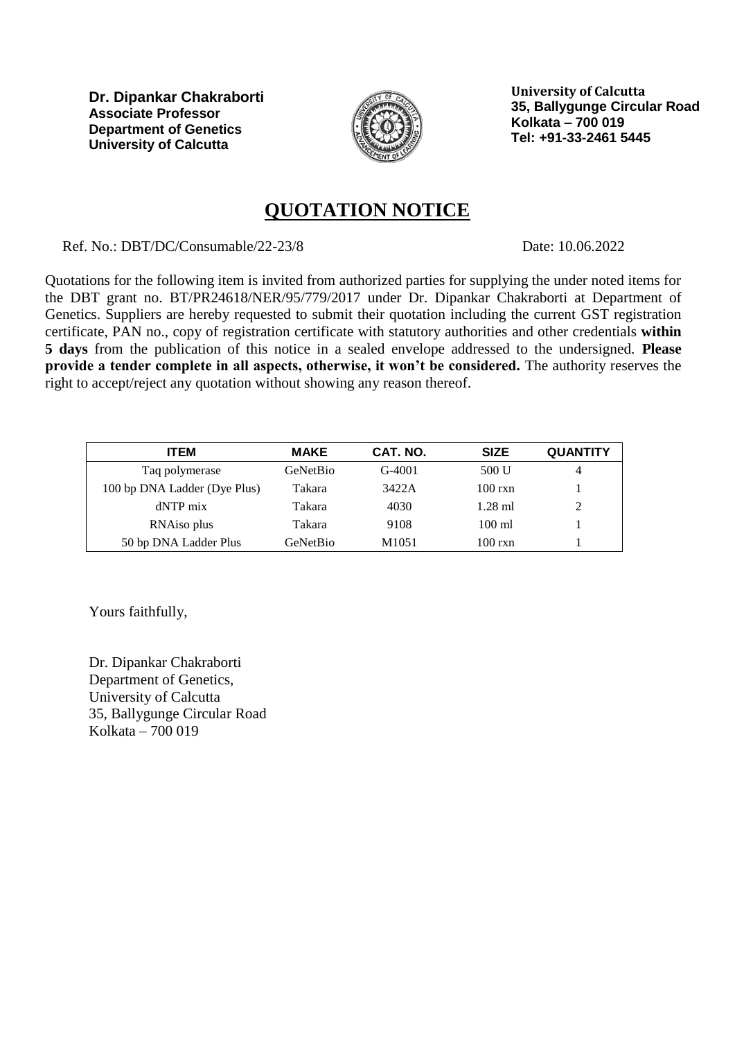

**University of Calcutta 35, Ballygunge Circular Road Kolkata – 700 019 Tel: +91-33-2461 5445**

### **QUOTATION NOTICE**

Ref. No.: DBT/DC/Consumable/22-23/8 Date: 10.06.2022

Quotations for the following item is invited from authorized parties for supplying the under noted items for the DBT grant no. BT/PR24618/NER/95/779/2017 under Dr. Dipankar Chakraborti at Department of Genetics. Suppliers are hereby requested to submit their quotation including the current GST registration certificate, PAN no., copy of registration certificate with statutory authorities and other credentials **within 5 days** from the publication of this notice in a sealed envelope addressed to the undersigned. **Please provide a tender complete in all aspects, otherwise, it won't be considered.** The authority reserves the right to accept/reject any quotation without showing any reason thereof.

| ITEM                         | <b>MAKE</b> | CAT. NO.          | <b>SIZE</b>      | <b>QUANTITY</b> |
|------------------------------|-------------|-------------------|------------------|-----------------|
| Taq polymerase               | GeNetBio    | $G-4001$          | 500 U            | 4               |
| 100 bp DNA Ladder (Dye Plus) | Takara      | 3422A             | $100$ rxn        |                 |
| dNTP mix                     | Takara      | 4030              | $1.28$ ml        | $\gamma$        |
| RNA <sub>iso</sub> plus      | Takara      | 9108              | $100 \text{ ml}$ |                 |
| 50 bp DNA Ladder Plus        | GeNetBio    | M <sub>1051</sub> | $100$ rxn        |                 |

Yours faithfully,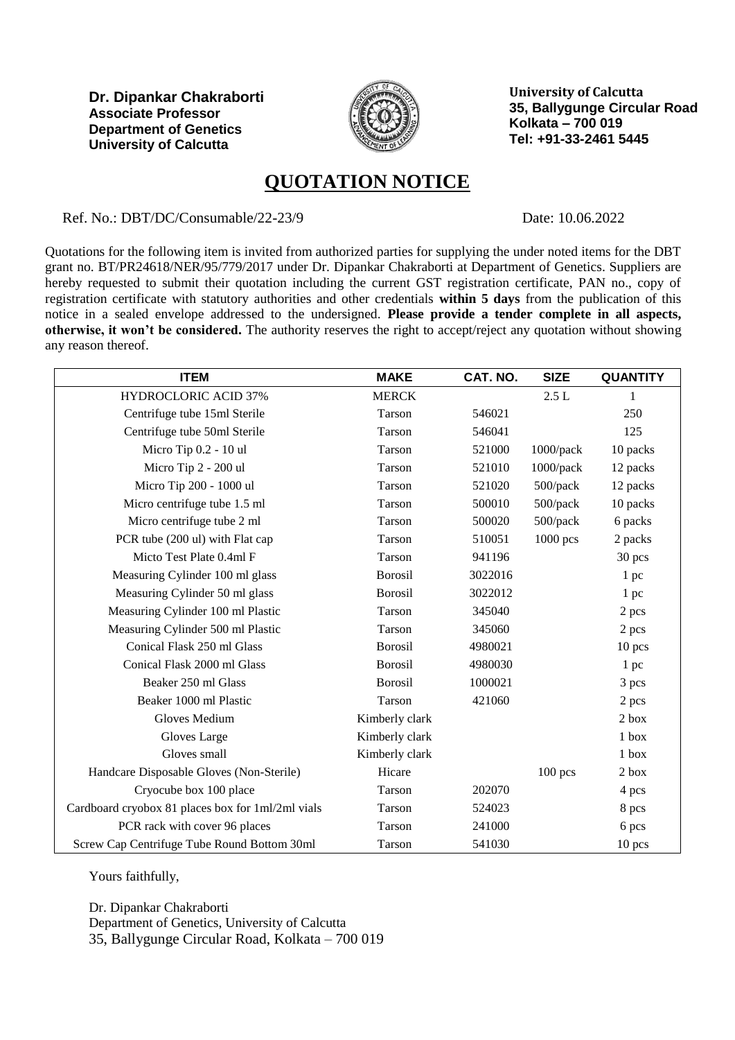

**University of Calcutta 35, Ballygunge Circular Road Kolkata – 700 019 Tel: +91-33-2461 5445**

## **QUOTATION NOTICE**

Ref. No.: DBT/DC/Consumable/22-23/9

Date: 10.06.2022

Quotations for the following item is invited from authorized parties for supplying the under noted items for the DBT grant no. BT/PR24618/NER/95/779/2017 under Dr. Dipankar Chakraborti at Department of Genetics. Suppliers are hereby requested to submit their quotation including the current GST registration certificate, PAN no., copy of registration certificate with statutory authorities and other credentials **within 5 days** from the publication of this notice in a sealed envelope addressed to the undersigned. **Please provide a tender complete in all aspects, otherwise, it won't be considered.** The authority reserves the right to accept/reject any quotation without showing any reason thereof.

| <b>ITEM</b>                                       | <b>MAKE</b>    | CAT. NO. | <b>SIZE</b>  | <b>QUANTITY</b> |
|---------------------------------------------------|----------------|----------|--------------|-----------------|
| <b>HYDROCLORIC ACID 37%</b>                       | <b>MERCK</b>   |          | 2.5L         | 1               |
| Centrifuge tube 15ml Sterile                      | Tarson         | 546021   |              | 250             |
| Centrifuge tube 50ml Sterile                      | Tarson         | 546041   |              | 125             |
| Micro Tip 0.2 - 10 ul                             | Tarson         | 521000   | $1000$ /pack | 10 packs        |
| Micro Tip 2 - 200 ul                              | Tarson         | 521010   | 1000/pack    | 12 packs        |
| Micro Tip 200 - 1000 ul                           | Tarson         | 521020   | 500/pack     | 12 packs        |
| Micro centrifuge tube 1.5 ml                      | Tarson         | 500010   | 500/pack     | 10 packs        |
| Micro centrifuge tube 2 ml                        | Tarson         | 500020   | 500/pack     | 6 packs         |
| PCR tube (200 ul) with Flat cap                   | Tarson         | 510051   | $1000$ pcs   | 2 packs         |
| Micto Test Plate 0.4ml F                          | Tarson         | 941196   |              | 30 pcs          |
| Measuring Cylinder 100 ml glass                   | <b>Borosil</b> | 3022016  |              | 1 pc            |
| Measuring Cylinder 50 ml glass                    | <b>Borosil</b> | 3022012  |              | 1 pc            |
| Measuring Cylinder 100 ml Plastic                 | Tarson         | 345040   |              | 2 pcs           |
| Measuring Cylinder 500 ml Plastic                 | Tarson         | 345060   |              | 2 pcs           |
| Conical Flask 250 ml Glass                        | <b>Borosil</b> | 4980021  |              | 10 pcs          |
| Conical Flask 2000 ml Glass                       | <b>Borosil</b> | 4980030  |              | 1 pc            |
| Beaker 250 ml Glass                               | <b>Borosil</b> | 1000021  |              | 3 pcs           |
| Beaker 1000 ml Plastic                            | Tarson         | 421060   |              | 2 pcs           |
| <b>Gloves Medium</b>                              | Kimberly clark |          |              | 2 box           |
| Gloves Large                                      | Kimberly clark |          |              | $1$ box         |
| Gloves small                                      | Kimberly clark |          |              | 1 box           |
| Handcare Disposable Gloves (Non-Sterile)          | Hicare         |          | $100$ pcs    | $2$ box         |
| Cryocube box 100 place                            | Tarson         | 202070   |              | 4 pcs           |
| Cardboard cryobox 81 places box for 1ml/2ml vials | Tarson         | 524023   |              | 8 pcs           |
| PCR rack with cover 96 places                     | Tarson         | 241000   |              | 6 pcs           |
| Screw Cap Centrifuge Tube Round Bottom 30ml       | Tarson         | 541030   |              | 10 pcs          |

Yours faithfully,